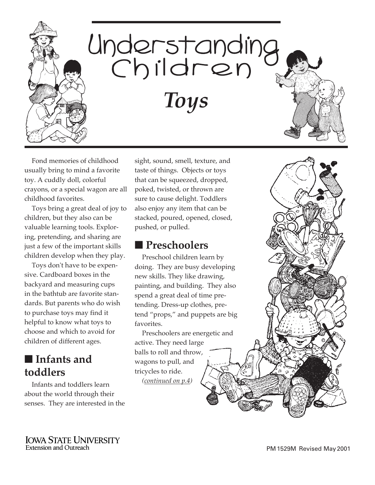

Fond memories of childhood usually bring to mind a favorite toy. A cuddly doll, colorful crayons, or a special wagon are all childhood favorites.

Toys bring a great deal of joy to children, but they also can be valuable learning tools. Exploring, pretending, and sharing are just a few of the important skills children develop when they play.

Toys don't have to be expensive. Cardboard boxes in the backyard and measuring cups in the bathtub are favorite standards. But parents who do wish to purchase toys may find it helpful to know what toys to choose and which to avoid for children of different ages.

## ■ **Infants and toddlers**

Infants and toddlers learn about the world through their senses. They are interested in the sight, sound, smell, texture, and taste of things. Objects or toys that can be squeezed, dropped, poked, twisted, or thrown are sure to cause delight. Toddlers also enjoy any item that can be stacked, poured, opened, closed, pushed, or pulled.

#### ■ **Preschoolers**

Preschool children learn by doing. They are busy developing new skills. They like drawing, painting, and building. They also spend a great deal of time pretending. Dress-up clothes, pretend "props," and puppets are big favorites.

Preschoolers are energetic and active. They need large balls to roll and throw, wagons to pull, and tricycles to ride. *([continued on p.4\)](#page-3-0)* 

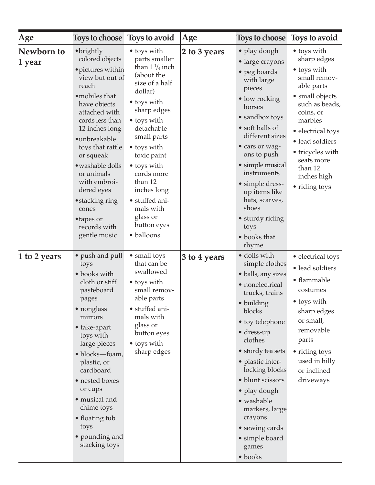| Age                  | Toys to choose Toys to avoid                                                                                                                                                                                                                                                                                                                                              |                                                                                                                                                                                                                                                                                                                                            | Age          | Toys to choose                                                                                                                                                                                                                                                                                                                                                                          | Toys to avoid                                                                                                                                                                                                                                             |
|----------------------|---------------------------------------------------------------------------------------------------------------------------------------------------------------------------------------------------------------------------------------------------------------------------------------------------------------------------------------------------------------------------|--------------------------------------------------------------------------------------------------------------------------------------------------------------------------------------------------------------------------------------------------------------------------------------------------------------------------------------------|--------------|-----------------------------------------------------------------------------------------------------------------------------------------------------------------------------------------------------------------------------------------------------------------------------------------------------------------------------------------------------------------------------------------|-----------------------------------------------------------------------------------------------------------------------------------------------------------------------------------------------------------------------------------------------------------|
| Newborn to<br>1 year | $\bullet$ brightly<br>colored objects<br>· pictures within<br>view but out of<br>reach<br>• mobiles that<br>have objects<br>attached with<br>cords less than<br>12 inches long<br>·unbreakable<br>toys that rattle<br>or squeak<br>· washable dolls<br>or animals<br>with embroi-<br>dered eyes<br>• stacking ring<br>cones<br>• tapes or<br>records with<br>gentle music | • toys with<br>parts smaller<br>than $1\frac{1}{4}$ inch<br>(about the<br>size of a half<br>dollar)<br>• toys with<br>sharp edges<br>• toys with<br>detachable<br>small parts<br>• toys with<br>toxic paint<br>• toys with<br>cords more<br>than 12<br>inches long<br>• stuffed ani-<br>mals with<br>glass or<br>button eyes<br>· balloons | 2 to 3 years | • play dough<br>• large crayons<br>• peg boards<br>with large<br>pieces<br>• low rocking<br>horses<br>• sandbox toys<br>• soft balls of<br>different sizes<br>• cars or wag-<br>ons to push<br>• simple musical<br>instruments<br>• simple dress-<br>up items like<br>hats, scarves,<br>shoes<br>• sturdy riding<br>toys<br>• books that<br>rhyme                                       | • toys with<br>sharp edges<br>• toys with<br>small remov-<br>able parts<br>• small objects<br>such as beads,<br>coins, or<br>marbles<br>• electrical toys<br>• lead soldiers<br>• tricycles with<br>seats more<br>than 12<br>inches high<br>• riding toys |
| 1 to 2 years         | • push and pull<br>toys<br>• books with<br>cloth or stiff<br>pasteboard<br>pages<br>• nonglass<br>mirrors<br>• take-apart<br>toys with<br>large pieces<br>• blocks—foam,<br>plastic, or<br>cardboard<br>• nested boxes<br>or cups<br>· musical and<br>chime toys<br>• floating tub<br>toys<br>• pounding and<br>stacking toys                                             | • small toys<br>that can be<br>swallowed<br>• toys with<br>small remov-<br>able parts<br>• stuffed ani-<br>mals with<br>glass or<br>button eyes<br>• toys with<br>sharp edges                                                                                                                                                              | 3 to 4 years | · dolls with<br>simple clothes<br>• balls, any sizes<br>• nonelectrical<br>trucks, trains<br>· building<br>blocks<br>• toy telephone<br>$\bullet$ dress-up<br>clothes<br>• sturdy tea sets<br>• plastic inter-<br>locking blocks<br>· blunt scissors<br>$\bullet$ play dough<br>• washable<br>markers, large<br>crayons<br>• sewing cards<br>• simple board<br>games<br>$\bullet$ books | • electrical toys<br>• lead soldiers<br>• flammable<br>costumes<br>• toys with<br>sharp edges<br>or small,<br>removable<br>parts<br>• riding toys<br>used in hilly<br>or inclined<br>driveways                                                            |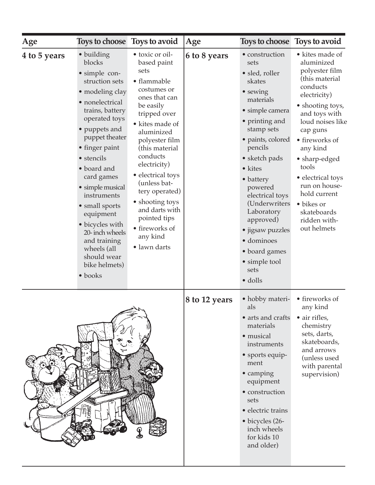| Age          | Toys to choose Toys to avoid                                                                                                                                                                                                                                                                                                                                                                                                |                                                                                                                                                                                                                                                                                                                                                                               | Age           | Toys to choose Toys to avoid                                                                                                                                                                                                                                                                                                                                                             |                                                                                                                                                                                                                                                                                                                                              |
|--------------|-----------------------------------------------------------------------------------------------------------------------------------------------------------------------------------------------------------------------------------------------------------------------------------------------------------------------------------------------------------------------------------------------------------------------------|-------------------------------------------------------------------------------------------------------------------------------------------------------------------------------------------------------------------------------------------------------------------------------------------------------------------------------------------------------------------------------|---------------|------------------------------------------------------------------------------------------------------------------------------------------------------------------------------------------------------------------------------------------------------------------------------------------------------------------------------------------------------------------------------------------|----------------------------------------------------------------------------------------------------------------------------------------------------------------------------------------------------------------------------------------------------------------------------------------------------------------------------------------------|
| 4 to 5 years | • building<br>blocks<br>• simple con-<br>struction sets<br>· modeling clay<br>• nonelectrical<br>trains, battery<br>operated toys<br>• puppets and<br>puppet theater<br>• finger paint<br>• stencils<br>• board and<br>card games<br>• simple musical<br>instruments<br>· small sports<br>equipment<br>• bicycles with<br>20- inch wheels<br>and training<br>wheels (all<br>should wear<br>bike helmets)<br>$\bullet$ books | • toxic or oil-<br>based paint<br>sets<br>• flammable<br>costumes or<br>ones that can<br>be easily<br>tripped over<br>• kites made of<br>aluminized<br>polyester film<br>(this material<br>conducts<br>electricity)<br>• electrical toys<br>(unless bat-<br>tery operated)<br>• shooting toys<br>and darts with<br>pointed tips<br>• fireworks of<br>any kind<br>· lawn darts | 6 to 8 years  | • construction<br>sets<br>· sled, roller<br>skates<br>• sewing<br>materials<br>· simple camera<br>• printing and<br>stamp sets<br>· paints, colored<br>pencils<br>$\bullet$ sketch pads<br>• kites<br>• battery<br>powered<br>electrical toys<br>(Underwriters<br>Laboratory<br>approved)<br>• jigsaw puzzles<br>· dominoes<br>• board games<br>• simple tool<br>sets<br>$\bullet$ dolls | • kites made of<br>aluminized<br>polyester film<br>(this material<br>conducts<br>electricity)<br>• shooting toys,<br>and toys with<br>loud noises like<br>cap guns<br>· fireworks of<br>any kind<br>• sharp-edged<br>tools<br>• electrical toys<br>run on house-<br>hold current<br>· bikes or<br>skateboards<br>ridden with-<br>out helmets |
|              |                                                                                                                                                                                                                                                                                                                                                                                                                             |                                                                                                                                                                                                                                                                                                                                                                               | 8 to 12 years | • hobby materi-<br>als<br>• arts and crafts<br>materials<br>· musical<br>instruments<br>• sports equip-<br>ment<br>• camping<br>equipment<br>• construction<br>sets<br>• electric trains<br>$\bullet$ bicycles (26-<br>inch wheels<br>for kids 10<br>and older)                                                                                                                          | • fireworks of<br>any kind<br>• air rifles,<br>chemistry<br>sets, darts,<br>skateboards,<br>and arrows<br>(unless used<br>with parental<br>supervision)                                                                                                                                                                                      |